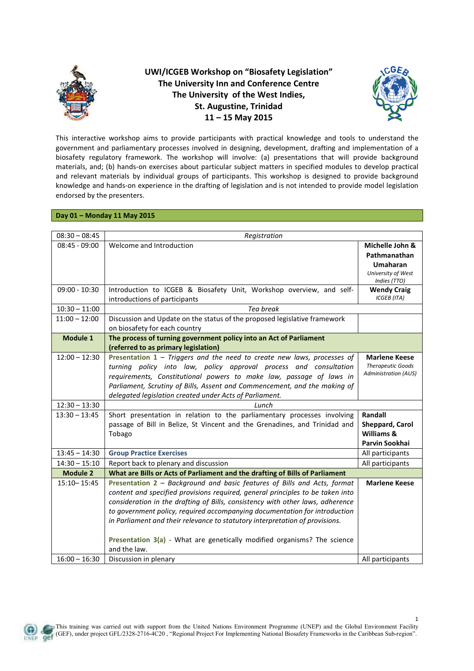

**UWI/ICGEB Workshop on "Biosafety Legislation" The University Inn and Conference Centre The University of the West Indies, St. Augustine, Trinidad 11 – 15 May 2015** 



1

This interactive workshop aims to provide participants with practical knowledge and tools to understand the government and parliamentary processes involved in designing, development, drafting and implementation of a biosafety regulatory framework. The workshop will involve: (a) presentations that will provide background materials, and; (b) hands-on exercises about particular subject matters in specified modules to develop practical and relevant materials by individual groups of participants. This workshop is designed to provide background knowledge and hands-on experience in the drafting of legislation and is not intended to provide model legislation endorsed by the presenters.

## **Day 01 – Monday 11 May 2015**

| $08:30 - 08:45$                    | Registration                                                                                                                         |                                                  |
|------------------------------------|--------------------------------------------------------------------------------------------------------------------------------------|--------------------------------------------------|
| $08:45 - 09:00$                    | Welcome and Introduction                                                                                                             | Michelle John &                                  |
|                                    |                                                                                                                                      | Pathmanathan                                     |
|                                    |                                                                                                                                      | <b>Umaharan</b>                                  |
|                                    |                                                                                                                                      | University of West                               |
|                                    |                                                                                                                                      | Indies (TTO)                                     |
| $09:00 - 10:30$                    | Introduction to ICGEB & Biosafety Unit, Workshop overview, and self-                                                                 | <b>Wendy Craig</b><br><b>ICGEB</b> (ITA)         |
|                                    | introductions of participants                                                                                                        |                                                  |
| $10:30 - 11:00$                    | Tea break                                                                                                                            |                                                  |
| $11:00 - 12:00$                    | Discussion and Update on the status of the proposed legislative framework                                                            |                                                  |
|                                    | on biosafety for each country                                                                                                        |                                                  |
| Module 1                           | The process of turning government policy into an Act of Parliament                                                                   |                                                  |
|                                    | (referred to as primary legislation)                                                                                                 |                                                  |
| $12:00 - 12:30$                    | Presentation $1$ – Triggers and the need to create new laws, processes of                                                            | <b>Marlene Keese</b><br><b>Therapeutic Goods</b> |
|                                    | turning policy into law, policy approval process and consultation                                                                    | <b>Administration (AUS)</b>                      |
|                                    | requirements, Constitutional powers to make law, passage of laws in                                                                  |                                                  |
|                                    | Parliament, Scrutiny of Bills, Assent and Commencement, and the making of<br>delegated legislation created under Acts of Parliament. |                                                  |
|                                    |                                                                                                                                      |                                                  |
| $12:30 - 13:30$                    | Lunch                                                                                                                                |                                                  |
| $13:30 - 13:45$                    | Short presentation in relation to the parliamentary processes involving                                                              | Randall                                          |
|                                    | passage of Bill in Belize, St Vincent and the Grenadines, and Trinidad and                                                           | Sheppard, Carol<br>Williams &                    |
|                                    | Tobago                                                                                                                               | Parvin Sookhai                                   |
|                                    |                                                                                                                                      |                                                  |
| $13:45 - 14:30$                    | <b>Group Practice Exercises</b>                                                                                                      | All participants                                 |
| $14:30 - 15:10$<br><b>Module 2</b> | Report back to plenary and discussion                                                                                                | All participants                                 |
|                                    | What are Bills or Acts of Parliament and the drafting of Bills of Parliament                                                         |                                                  |
| $15:10 - 15:45$                    | Presentation 2 - Background and basic features of Bills and Acts, format                                                             | <b>Marlene Keese</b>                             |
|                                    | content and specified provisions required, general principles to be taken into                                                       |                                                  |
|                                    | consideration in the drafting of Bills, consistency with other laws, adherence                                                       |                                                  |
|                                    | to government policy, required accompanying documentation for introduction                                                           |                                                  |
|                                    | in Parliament and their relevance to statutory interpretation of provisions.                                                         |                                                  |
|                                    |                                                                                                                                      |                                                  |
|                                    | Presentation 3(a) - What are genetically modified organisms? The science<br>and the law.                                             |                                                  |
| $16:00 - 16:30$                    |                                                                                                                                      |                                                  |
|                                    | Discussion in plenary                                                                                                                | All participants                                 |

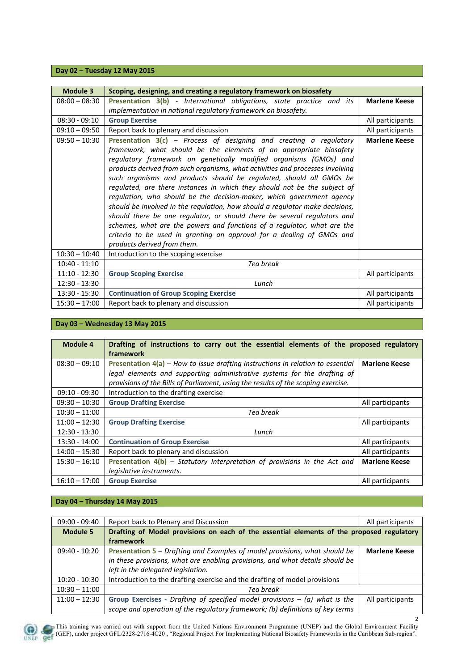## **Day 02 – Tuesday 12 May 2015**

| Module 3        | Scoping, designing, and creating a regulatory framework on biosafety                                                                                                                                                                                                                                                                                                                                                                                                                                                                                                                                                                                                                                                                                                                                                                                                         |                      |
|-----------------|------------------------------------------------------------------------------------------------------------------------------------------------------------------------------------------------------------------------------------------------------------------------------------------------------------------------------------------------------------------------------------------------------------------------------------------------------------------------------------------------------------------------------------------------------------------------------------------------------------------------------------------------------------------------------------------------------------------------------------------------------------------------------------------------------------------------------------------------------------------------------|----------------------|
| $08:00 - 08:30$ | Presentation 3(b) - International obligations, state practice and its                                                                                                                                                                                                                                                                                                                                                                                                                                                                                                                                                                                                                                                                                                                                                                                                        | <b>Marlene Keese</b> |
|                 | implementation in national regulatory framework on biosafety.                                                                                                                                                                                                                                                                                                                                                                                                                                                                                                                                                                                                                                                                                                                                                                                                                |                      |
| $08:30 - 09:10$ | <b>Group Exercise</b>                                                                                                                                                                                                                                                                                                                                                                                                                                                                                                                                                                                                                                                                                                                                                                                                                                                        | All participants     |
| $09:10 - 09:50$ | Report back to plenary and discussion                                                                                                                                                                                                                                                                                                                                                                                                                                                                                                                                                                                                                                                                                                                                                                                                                                        | All participants     |
| $09:50 - 10:30$ | Presentation $3(c)$ – Process of designing and creating a regulatory<br>framework, what should be the elements of an appropriate biosafety<br>regulatory framework on genetically modified organisms (GMOs) and<br>products derived from such organisms, what activities and processes involving<br>such organisms and products should be regulated, should all GMOs be<br>regulated, are there instances in which they should not be the subject of<br>regulation, who should be the decision-maker, which government agency<br>should be involved in the regulation, how should a regulator make decisions,<br>should there be one regulator, or should there be several regulators and<br>schemes, what are the powers and functions of a regulator, what are the<br>criteria to be used in granting an approval for a dealing of GMOs and<br>products derived from them. | <b>Marlene Keese</b> |
| $10:30 - 10:40$ | Introduction to the scoping exercise                                                                                                                                                                                                                                                                                                                                                                                                                                                                                                                                                                                                                                                                                                                                                                                                                                         |                      |
| $10:40 - 11:10$ | Tea break                                                                                                                                                                                                                                                                                                                                                                                                                                                                                                                                                                                                                                                                                                                                                                                                                                                                    |                      |
| $11:10 - 12:30$ | <b>Group Scoping Exercise</b>                                                                                                                                                                                                                                                                                                                                                                                                                                                                                                                                                                                                                                                                                                                                                                                                                                                | All participants     |
| $12:30 - 13:30$ | Lunch                                                                                                                                                                                                                                                                                                                                                                                                                                                                                                                                                                                                                                                                                                                                                                                                                                                                        |                      |
| $13:30 - 15:30$ | <b>Continuation of Group Scoping Exercise</b>                                                                                                                                                                                                                                                                                                                                                                                                                                                                                                                                                                                                                                                                                                                                                                                                                                | All participants     |
| $15:30 - 17:00$ | Report back to plenary and discussion                                                                                                                                                                                                                                                                                                                                                                                                                                                                                                                                                                                                                                                                                                                                                                                                                                        | All participants     |

## **Day 03 – Wednesday 13 May 2015**

| Module 4        | Drafting of instructions to carry out the essential elements of the proposed regulatory |                      |
|-----------------|-----------------------------------------------------------------------------------------|----------------------|
|                 | framework                                                                               |                      |
| $08:30 - 09:10$ | Presentation $4(a)$ – How to issue drafting instructions in relation to essential       | <b>Marlene Keese</b> |
|                 | legal elements and supporting administrative systems for the drafting of                |                      |
|                 | provisions of the Bills of Parliament, using the results of the scoping exercise.       |                      |
| $09:10 - 09:30$ | Introduction to the drafting exercise                                                   |                      |
| $09:30 - 10:30$ | <b>Group Drafting Exercise</b>                                                          | All participants     |
| $10:30 - 11:00$ | Tea break                                                                               |                      |
| $11:00 - 12:30$ | <b>Group Drafting Exercise</b>                                                          | All participants     |
| $12:30 - 13:30$ | Lunch                                                                                   |                      |
| 13:30 - 14:00   | <b>Continuation of Group Exercise</b>                                                   | All participants     |
| $14:00 - 15:30$ | Report back to plenary and discussion                                                   | All participants     |
| $15:30 - 16:10$ | Presentation $4(b)$ – Statutory Interpretation of provisions in the Act and             | <b>Marlene Keese</b> |
|                 | legislative instruments.                                                                |                      |
| $16:10 - 17:00$ | <b>Group Exercise</b>                                                                   | All participants     |

## **Day 04 – Thursday 14 May 2015**

| $09:00 - 09:40$ | Report back to Plenary and Discussion                                                     | All participants     |
|-----------------|-------------------------------------------------------------------------------------------|----------------------|
|                 |                                                                                           |                      |
| <b>Module 5</b> | Drafting of Model provisions on each of the essential elements of the proposed regulatory |                      |
|                 | framework                                                                                 |                      |
| 09:40 - 10:20   | Presentation 5 – Drafting and Examples of model provisions, what should be                | <b>Marlene Keese</b> |
|                 | in these provisions, what are enabling provisions, and what details should be             |                      |
|                 | left in the delegated legislation.                                                        |                      |
| $10:20 - 10:30$ | Introduction to the drafting exercise and the drafting of model provisions                |                      |
| $10:30 - 11:00$ | Tea break                                                                                 |                      |
| $11:00 - 12:30$ | Group Exercises - Drafting of specified model provisions $-$ (a) what is the              | All participants     |
|                 | scope and operation of the regulatory framework; (b) definitions of key terms             |                      |



This training was carried out with support from the United Nations Environment Programme (UNEP) and the Global Environment Facility (GEF), under project GFL/2328-2716-4C20 , "Regional Project For Implementing National Biosafety Frameworks in the Caribbean Sub-region".